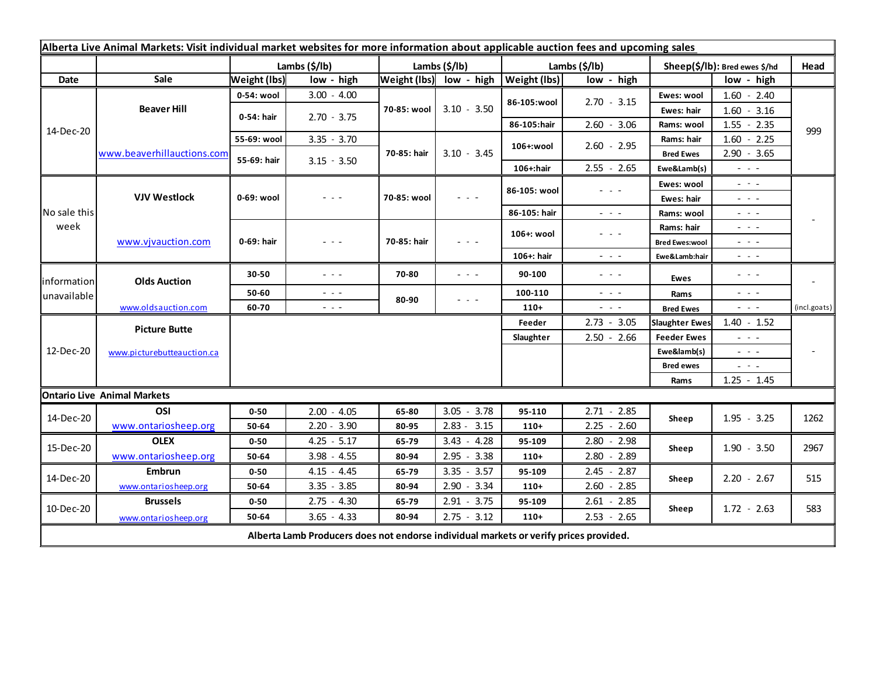| Alberta Live Animal Markets: Visit individual market websites for more information about applicable auction fees and upcoming sales |                            |                     |                                                                                             |               |                                                                                                                           |               |                                                                                                                           |                               |                                                                                                                           |              |
|-------------------------------------------------------------------------------------------------------------------------------------|----------------------------|---------------------|---------------------------------------------------------------------------------------------|---------------|---------------------------------------------------------------------------------------------------------------------------|---------------|---------------------------------------------------------------------------------------------------------------------------|-------------------------------|---------------------------------------------------------------------------------------------------------------------------|--------------|
|                                                                                                                                     |                            | Lambs (\$/lb)       |                                                                                             | Lambs (\$/lb) |                                                                                                                           | Lambs (\$/lb) |                                                                                                                           | Sheep(\$/lb): Bred ewes \$/hd |                                                                                                                           | Head         |
| Date                                                                                                                                | Sale                       | <b>Weight (lbs)</b> | low - high                                                                                  |               | Weight (lbs) low - high                                                                                                   | Weight (lbs)  | low - high                                                                                                                |                               | low - high                                                                                                                |              |
| 14-Dec-20                                                                                                                           | <b>Beaver Hill</b>         | 0-54: wool          | $3.00 - 4.00$                                                                               | 70-85: wool   | $3.10 - 3.50$                                                                                                             | 86-105:wool   | $2.70 - 3.15$                                                                                                             | Ewes: wool                    | $1.60 - 2.40$                                                                                                             | 999          |
|                                                                                                                                     |                            | 0-54: hair          | $2.70 - 3.75$                                                                               |               |                                                                                                                           |               |                                                                                                                           | Ewes: hair                    | $1.60 - 3.16$                                                                                                             |              |
|                                                                                                                                     |                            |                     |                                                                                             |               |                                                                                                                           | 86-105:hair   | $2.60 - 3.06$                                                                                                             | Rams: wool                    | $1.55 - 2.35$                                                                                                             |              |
|                                                                                                                                     | www.beaverhillauctions.com | 55-69: wool         | $3.35 - 3.70$                                                                               | 70-85: hair   | $3.10 - 3.45$                                                                                                             | 106+:wool     | $2.60 - 2.95$                                                                                                             | Rams: hair                    | $1.60 - 2.25$                                                                                                             |              |
|                                                                                                                                     |                            | 55-69: hair         | $3.15 - 3.50$                                                                               |               |                                                                                                                           |               |                                                                                                                           | <b>Bred Ewes</b>              | $2.90 - 3.65$                                                                                                             |              |
|                                                                                                                                     |                            |                     |                                                                                             |               |                                                                                                                           | 106+:hair     | $2.55 - 2.65$                                                                                                             | Ewe&Lamb(s)                   | - - -                                                                                                                     |              |
| No sale this<br>week                                                                                                                | <b>VJV Westlock</b>        | 0-69: wool          | $  -$                                                                                       | 70-85: wool   | $\frac{1}{2} \left( \frac{1}{2} \right) \left( \frac{1}{2} \right) \left( \frac{1}{2} \right) \left( \frac{1}{2} \right)$ | 86-105: wool  | $  -$                                                                                                                     | Ewes: wool                    | $\omega_{\rm{c}}$ , $\omega_{\rm{c}}$                                                                                     |              |
|                                                                                                                                     |                            |                     |                                                                                             |               |                                                                                                                           |               |                                                                                                                           | Ewes: hair                    | $\frac{1}{2} \left( \frac{1}{2} \right) = \frac{1}{2} \left( \frac{1}{2} \right)$                                         |              |
|                                                                                                                                     |                            |                     |                                                                                             |               |                                                                                                                           | 86-105: hair  | $\frac{1}{2} \left( \frac{1}{2} \right) \left( \frac{1}{2} \right) \left( \frac{1}{2} \right) \left( \frac{1}{2} \right)$ | Rams: wool                    | $  -$                                                                                                                     |              |
|                                                                                                                                     | www.vjvauction.com         | 0-69: hair          | - - -                                                                                       | 70-85: hair   | - - -                                                                                                                     | 106+: wool    | $  -$                                                                                                                     | Rams: hair                    | - - -                                                                                                                     |              |
|                                                                                                                                     |                            |                     |                                                                                             |               |                                                                                                                           |               |                                                                                                                           | <b>Bred Ewes:wool</b>         | $\frac{1}{2} \left( \frac{1}{2} \right) = \frac{1}{2} \left( \frac{1}{2} \right)$                                         |              |
|                                                                                                                                     |                            |                     |                                                                                             |               |                                                                                                                           | 106+: hair    | $\frac{1}{2} \left( \frac{1}{2} \right) \left( \frac{1}{2} \right) \left( \frac{1}{2} \right) \left( \frac{1}{2} \right)$ | Ewe&Lamb:hair                 | $\frac{1}{2} \left( \frac{1}{2} \right) \frac{1}{2} \left( \frac{1}{2} \right) \frac{1}{2} \left( \frac{1}{2} \right)$    |              |
| information<br>unavailable                                                                                                          | <b>Olds Auction</b>        | 30-50               | $  -$                                                                                       | 70-80         | 20 A                                                                                                                      | 90-100        | $\frac{1}{2} \left( \frac{1}{2} \right) = \frac{1}{2} \left( \frac{1}{2} \right)$                                         | Ewes                          | $  -$                                                                                                                     |              |
|                                                                                                                                     |                            | 50-60               | $\frac{1}{2} \left( \frac{1}{2} \right) \frac{1}{2} \left( \frac{1}{2} \right) \frac{1}{2}$ | 80-90         | - - -                                                                                                                     | 100-110       | $\frac{1}{2} \left( \frac{1}{2} \right) \left( \frac{1}{2} \right) \left( \frac{1}{2} \right)$                            | Rams                          | $\frac{1}{2} \left( \frac{1}{2} \right) \left( \frac{1}{2} \right) \left( \frac{1}{2} \right) \left( \frac{1}{2} \right)$ |              |
|                                                                                                                                     | www.oldsauction.com        | 60-70               | $\omega_{\rm{max}}$                                                                         |               |                                                                                                                           | $110+$        | $\omega_{\rm{max}}$ and                                                                                                   | <b>Bred Ewes</b>              | $\frac{1}{2} \left( \frac{1}{2} \right) \left( \frac{1}{2} \right) \left( \frac{1}{2} \right)$                            | (incl.goats) |
| 12-Dec-20                                                                                                                           | <b>Picture Butte</b>       |                     |                                                                                             |               |                                                                                                                           |               | $2.73 - 3.05$                                                                                                             | <b>Slaughter Ewes</b>         | $1.40 - 1.52$                                                                                                             |              |
|                                                                                                                                     | www.picturebutteauction.ca |                     |                                                                                             |               |                                                                                                                           | Slaughter     | $2.50 - 2.66$                                                                                                             | <b>Feeder Ewes</b>            | $ -$                                                                                                                      |              |
|                                                                                                                                     |                            |                     |                                                                                             |               |                                                                                                                           |               |                                                                                                                           | Ewe&lamb(s)                   | $  -$                                                                                                                     |              |
|                                                                                                                                     |                            |                     |                                                                                             |               |                                                                                                                           |               |                                                                                                                           | <b>Bred ewes</b>              | $\sim$ $\sim$ $\sim$                                                                                                      |              |
|                                                                                                                                     |                            |                     |                                                                                             |               |                                                                                                                           |               |                                                                                                                           | Rams                          | $1.25 - 1.45$                                                                                                             |              |
| <b>Ontario Live Animal Markets</b>                                                                                                  |                            |                     |                                                                                             |               |                                                                                                                           |               |                                                                                                                           |                               |                                                                                                                           |              |
| 14-Dec-20                                                                                                                           | OSI                        | $0 - 50$            | $2.00 - 4.05$                                                                               | 65-80         | $3.05 - 3.78$                                                                                                             | 95-110        | $2.71 - 2.85$                                                                                                             | Sheep                         | $1.95 - 3.25$                                                                                                             | 1262         |
|                                                                                                                                     | www.ontariosheep.org       | 50-64               | $2.20 - 3.90$                                                                               | 80-95         | $2.83 - 3.15$                                                                                                             | $110+$        | $2.25 - 2.60$                                                                                                             |                               |                                                                                                                           |              |
| 15-Dec-20                                                                                                                           | <b>OLEX</b>                | $0 - 50$            | $4.25 - 5.17$                                                                               | 65-79         | $3.43 - 4.28$                                                                                                             | 95-109        | $2.80 - 2.98$                                                                                                             | Sheep                         | $1.90 - 3.50$                                                                                                             | 2967         |
|                                                                                                                                     | www.ontariosheep.org       | 50-64               | $3.98 - 4.55$                                                                               | 80-94         | $2.95 - 3.38$                                                                                                             | $110+$        | $2.80 - 2.89$                                                                                                             |                               |                                                                                                                           |              |
| 14-Dec-20                                                                                                                           | <b>Embrun</b>              | $0 - 50$            | $4.15 - 4.45$                                                                               | 65-79         | $3.35 - 3.57$                                                                                                             | 95-109        | $2.45 - 2.87$                                                                                                             | Sheep                         | $2.20 - 2.67$                                                                                                             | 515          |
|                                                                                                                                     | www.ontariosheep.org       | 50-64               | $3.35 - 3.85$                                                                               | 80-94         | $2.90 - 3.34$                                                                                                             | $110+$        | $2.60 - 2.85$                                                                                                             |                               |                                                                                                                           |              |
| 10-Dec-20                                                                                                                           | <b>Brussels</b>            | $0 - 50$            | $2.75 - 4.30$                                                                               | 65-79         | $2.91 - 3.75$                                                                                                             | 95-109        | $2.61 - 2.85$                                                                                                             | Sheep                         | $1.72 - 2.63$                                                                                                             | 583          |
|                                                                                                                                     | www.ontariosheep.org       | 50-64               | $3.65 - 4.33$                                                                               | 80-94         | $2.75 - 3.12$                                                                                                             | $110+$        | $2.53 - 2.65$                                                                                                             |                               |                                                                                                                           |              |
| Alberta Lamb Producers does not endorse individual markets or verify prices provided.                                               |                            |                     |                                                                                             |               |                                                                                                                           |               |                                                                                                                           |                               |                                                                                                                           |              |